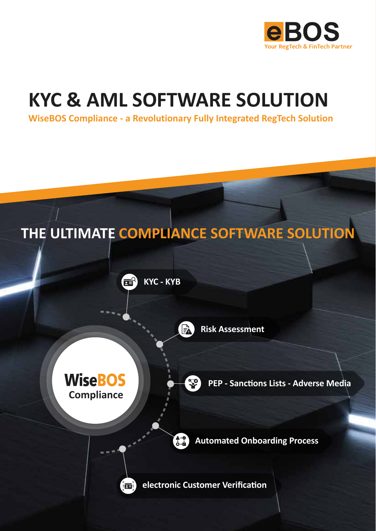

### **KYC & AML SOFTWARE SOLUTION**

**WiseBOS Compliance - a Revolutionary Fully Integrated RegTech Solution**